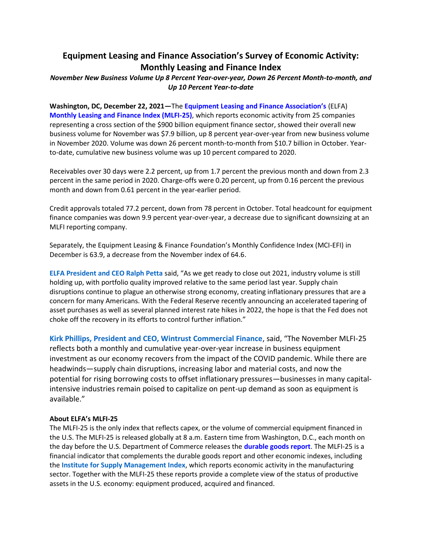# **Equipment Leasing and Finance Association's Survey of Economic Activity: Monthly Leasing and Finance Index**

## *November New Business Volume Up 8 Percent Year-over-year, Down 26 Percent Month-to-month, and Up 10 Percent Year-to-date*

**Washington, DC, December 22, 2021—**The **[Equipment Leasing and Finance Association's](http://www.elfaonline.org/)** (ELFA) **[Monthly Leasing and Finance Index \(MLFI-25\)](http://www.elfaonline.org/Data/MLFI/)**, which reports economic activity from 25 companies representing a cross section of the \$900 billion equipment finance sector, showed their overall new business volume for November was \$7.9 billion, up 8 percent year-over-year from new business volume in November 2020. Volume was down 26 percent month-to-month from \$10.7 billion in October. Yearto-date, cumulative new business volume was up 10 percent compared to 2020.

Receivables over 30 days were 2.2 percent, up from 1.7 percent the previous month and down from 2.3 percent in the same period in 2020. Charge-offs were 0.20 percent, up from 0.16 percent the previous month and down from 0.61 percent in the year-earlier period.

Credit approvals totaled 77.2 percent, down from 78 percent in October. Total headcount for equipment finance companies was down 9.9 percent year-over-year, a decrease due to significant downsizing at an MLFI reporting company.

Separately, the Equipment Leasing & Finance Foundation's Monthly Confidence Index (MCI-EFI) in December is 63.9, a decrease from the November index of 64.6.

**[ELFA President and CEO Ralph Petta](http://www.elfaonline.org/about/staff-contact-info/view-executive-staff-bios)** said, "As we get ready to close out 2021, industry volume is still holding up, with portfolio quality improved relative to the same period last year. Supply chain disruptions continue to plague an otherwise strong economy, creating inflationary pressures that are a concern for many Americans. With the Federal Reserve recently announcing an accelerated tapering of asset purchases as well as several planned interest rate hikes in 2022, the hope is that the Fed does not choke off the recovery in its efforts to control further inflation."

**[Kirk Phillips, President and CEO, Wintrust Commercial Finance](https://www.wintrust.com/wcf.html)**, said, "The November MLFI-25 reflects both a monthly and cumulative year-over-year increase in business equipment investment as our economy recovers from the impact of the COVID pandemic. While there are headwinds—supply chain disruptions, increasing labor and material costs, and now the potential for rising borrowing costs to offset inflationary pressures—businesses in many capitalintensive industries remain poised to capitalize on pent-up demand as soon as equipment is available."

### **About ELFA's MLFI-25**

The MLFI-25 is the only index that reflects capex, or the volume of commercial equipment financed in the U.S. The MLFI-25 is released globally at 8 a.m. Eastern time from Washington, D.C., each month on the day before the U.S. Department of Commerce releases the **[durable goods report](http://www.census.gov/indicator/www/m3/)**. The MLFI-25 is a financial indicator that complements the durable goods report and other economic indexes, including the **[Institute for Supply Management Index](https://www.ismworld.org/supply-management-news-and-reports/reports/ism-report-on-business/)**, which reports economic activity in the manufacturing sector. Together with the MLFI-25 these reports provide a complete view of the status of productive assets in the U.S. economy: equipment produced, acquired and financed.